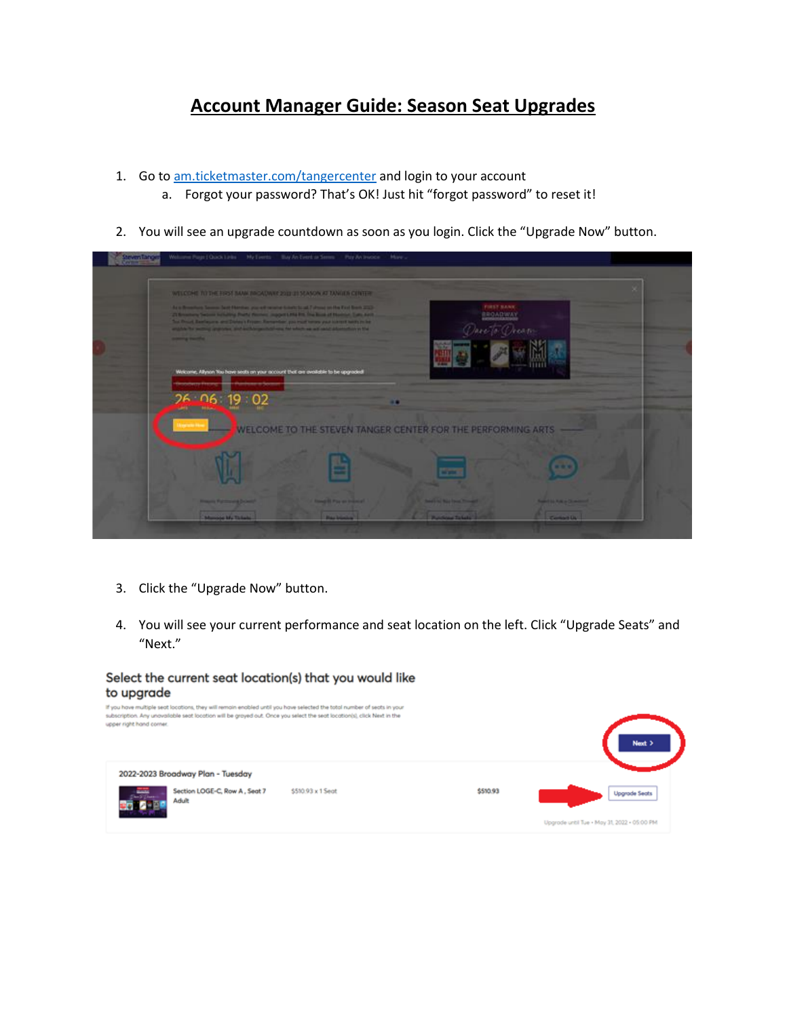## **Account Manager Guide: Season Seat Upgrades**

- 1. Go to [am.ticketmaster.com/tangercenter](https://am.ticketmaster.com/tangercenter/) and login to your account
	- a. Forgot your password? That's OK! Just hit "forgot password" to reset it!
- 2. You will see an upgrade countdown as soon as you login. Click the "Upgrade Now" button.

| WELCOME TO THE ENSY BANK INCADING 2011 21 SEASON AT TANGER CONTEN-<br>FIRST SANK<br>As a Broadway Sensor Sent Herniker, you will receive United to all 7 drams on the First Bredt 232-<br>21 Severany Second Actuality Posts Perrons, Import Life Rid The Book of Number, Calls And<br><b>BROADWAY</b><br>The Drout Exetiques and Dates's Friest Exetential you must be use your constitueity to be<br>To Chean<br>widths for secting analysis, and authorize that was his which we will adult advertising in the<br>present presented. |
|-----------------------------------------------------------------------------------------------------------------------------------------------------------------------------------------------------------------------------------------------------------------------------------------------------------------------------------------------------------------------------------------------------------------------------------------------------------------------------------------------------------------------------------------|
| Welcome, Allyson You have seats on your account that are available to be upgraded!<br>$26 - 06$ 19 02                                                                                                                                                                                                                                                                                                                                                                                                                                   |
| WELCOME TO THE STEVEN TANGER CENTER FOR THE PERFORMING ARTS                                                                                                                                                                                                                                                                                                                                                                                                                                                                             |
| - -                                                                                                                                                                                                                                                                                                                                                                                                                                                                                                                                     |
| <b><i><u>Street &amp; Pay on Indonesia</u></i></b><br><b>Property Painters and Drivers</b><br><b>Seattle Was Tree Tongell</b><br><b><i><u>AMERICAN A COMMUNIST</u></i></b>                                                                                                                                                                                                                                                                                                                                                              |

- 3. Click the "Upgrade Now" button.
- 4. You will see your current performance and seat location on the left. Click "Upgrade Seats" and "Next."

## Select the current seat location(s) that you would like to upgrade

| upper right hand corner. |                                        | If you have multiple seat locations, they will remain enabled until you have selected the total number of seats in your<br>subscription. Any unavailable seat location will be grayed out. Once you select the seat location(s), click Next in the |          | Next >                                      |
|--------------------------|----------------------------------------|----------------------------------------------------------------------------------------------------------------------------------------------------------------------------------------------------------------------------------------------------|----------|---------------------------------------------|
|                          | 2022-2023 Broadway Plan - Tuesday      |                                                                                                                                                                                                                                                    |          |                                             |
|                          | Section LOGE-C, Row A, Seat 7<br>Adult | \$510.93 x 1 Seat                                                                                                                                                                                                                                  | \$510.93 | <b>Upgrade Seats</b>                        |
|                          |                                        |                                                                                                                                                                                                                                                    |          | Upgrade until Tue + May 31, 2022 + 05:00 PM |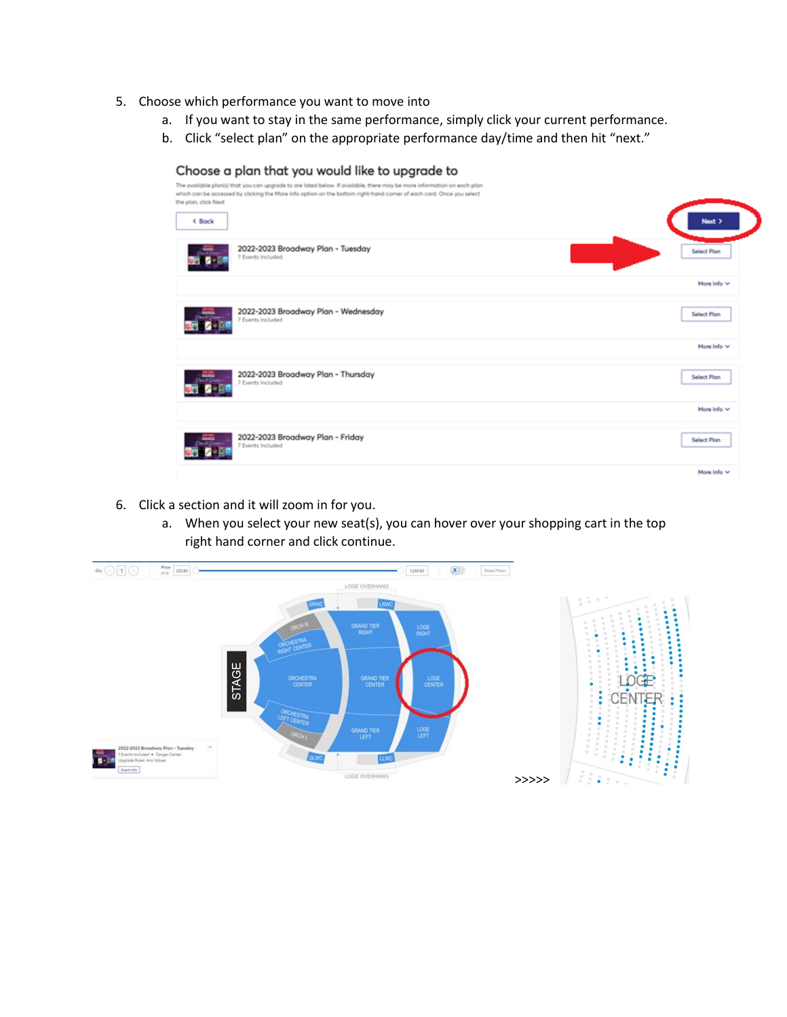- 5. Choose which performance you want to move into
	- a. If you want to stay in the same performance, simply click your current performance.
	- b. Click "select plan" on the appropriate performance day/time and then hit "next."

| Choose a plan that you would like to upgrade to<br>The available plants) that you can upgrade to are listed below. If available, there may be more information on each plan<br>which can be accessed by clicking the More Info option on the bottom right-hand corner of each card. Once you select<br>the plan, click Next<br>< Back | Next >             |
|---------------------------------------------------------------------------------------------------------------------------------------------------------------------------------------------------------------------------------------------------------------------------------------------------------------------------------------|--------------------|
| 2022-2023 Broadway Plan - Tuesday<br>7 Events Included                                                                                                                                                                                                                                                                                | Select Plan        |
|                                                                                                                                                                                                                                                                                                                                       | More Info V        |
| 2022-2023 Broadway Plan - Wednesday<br>7 Events Included                                                                                                                                                                                                                                                                              | Select Plan        |
|                                                                                                                                                                                                                                                                                                                                       | More Info V        |
| 2022-2023 Broadway Plan - Thursday<br>7 Events Included                                                                                                                                                                                                                                                                               | Select Plan        |
|                                                                                                                                                                                                                                                                                                                                       | More Info V        |
| 2022-2023 Broadway Plan - Friday<br>7 Events Included                                                                                                                                                                                                                                                                                 | <b>Select Plan</b> |
|                                                                                                                                                                                                                                                                                                                                       | More Info v        |

- 6. Click a section and it will zoom in for you.
	- a. When you select your new seat(s), you can hover over your shopping cart in the top right hand corner and click continue.

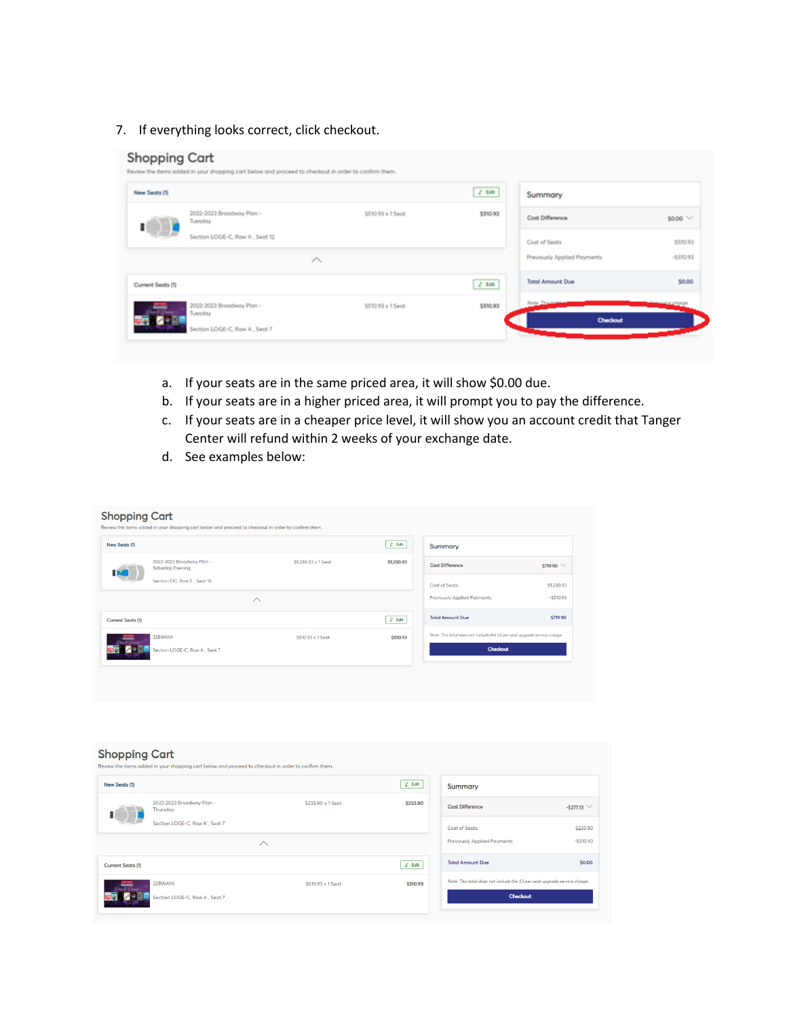7. If everything looks correct, click checkout.

## **Shopping Cart** Review the items added in your shopping cart below and proceed to checkout in order to confirm them  $2.68$ New Seats (1) Summary 2022-2023 Broadway Pian -<br>Tuesday  $$510.93 \times 15$ eat \$510.93 Cost Difference  $50.00 \vee$ 1 Section LOGE-C, Row A, Seat 12 Cost of Seats \$510.93 -\$510.93 Previously Applied Payments  $\sim$ **Total Amount Due** \$0.00 Current Seats (1)  $t$  tat 2022-2023 Broadway Plan -\$510.93 x 1 Sept \$510.93 Tuesday 6-25 o Section LOGE-C, Row A, Seat 7

- a. If your seats are in the same priced area, it will show \$0.00 due.
- b. If your seats are in a higher priced area, it will prompt you to pay the difference.
- c. If your seats are in a cheaper price level, it will show you an account credit that Tanger Center will refund within 2 weeks of your exchange date.
- d. See examples below:

| New Seats (1)<br>2022-2023 Broadway Plan -<br><b>Saturday Evening</b> | \$1,230.83 x 1 Seat | $Z$ Edit<br>\$1,230.83 | <b>Summary</b>                                                             |            |
|-----------------------------------------------------------------------|---------------------|------------------------|----------------------------------------------------------------------------|------------|
|                                                                       |                     |                        |                                                                            |            |
|                                                                       |                     |                        | <b>Cost Difference</b>                                                     | \$719.90 V |
| Section OC, Row E, Seat 18                                            |                     |                        | <b>Cost of Seats</b>                                                       | \$1,230.83 |
| $\curvearrowright$                                                    |                     |                        | <b>Previously Applied Payments</b>                                         | $-5510.93$ |
| <b>Current Seats (1)</b>                                              |                     | $Z$ Edit               | <b>Total Amount Due</b>                                                    | \$719.90   |
| 22BWAYA<br><b>Bising</b><br>Dere To Dear                              | \$510.93 x 1 Seat   | \$510.93               | Note: This total does not include the \$3 per seat upgrade service charge. |            |
| Section LOGE-C, Row A, Seat 7                                         |                     |                        | <b>Checkout</b>                                                            |            |
|                                                                       |                     |                        |                                                                            |            |

| <b>Shopping Cart</b>             | Review the items added in your shopping cart below and proceed to checkout in order to confirm them. |                    |          |                                                                            |                   |
|----------------------------------|------------------------------------------------------------------------------------------------------|--------------------|----------|----------------------------------------------------------------------------|-------------------|
| New Seats (1)                    |                                                                                                      |                    | $2$ Edit | <b>Summary</b>                                                             |                   |
|                                  | 2022-2023 Broadway Plan -<br>Thursday                                                                | \$233.80 x 1.Seat  | \$233,80 | <b>Cost Difference</b>                                                     | $-5277.13$ $\vee$ |
|                                  | Section LOGE-C. Row K. Seat 7                                                                        |                    |          | <b>Cost of Seats</b>                                                       | \$233.80          |
|                                  |                                                                                                      | $\curvearrowright$ |          | <b>Previously Applied Payments</b>                                         | $-5510.93$        |
| <b>Current Seats (1)</b>         |                                                                                                      |                    | $Z$ Edit | <b>Total Amount Due</b>                                                    | \$0,00            |
| <b>BEACHER</b><br>Queen to Queen | 22BWAYA                                                                                              | \$510.93 x 1 Sect  | \$510.93 | Note: This total does not include the \$3 per seat upgrade service charge. |                   |
|                                  | Section LOGE-C. Row A . Seat 7                                                                       |                    |          | <b>Checkout</b>                                                            |                   |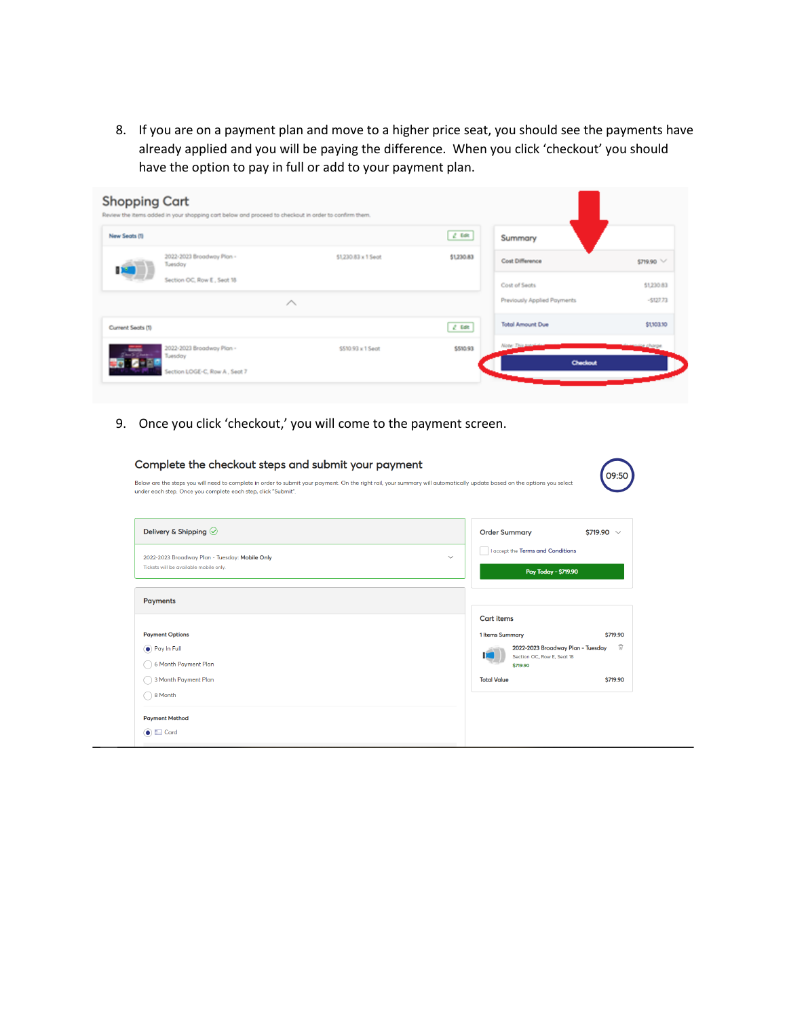8. If you are on a payment plan and move to a higher price seat, you should see the payments have already applied and you will be paying the difference. When you click 'checkout' you should have the option to pay in full or add to your payment plan.

| New Seats (1)     |                                      |                     | 2.5        | Summary                     |                     |
|-------------------|--------------------------------------|---------------------|------------|-----------------------------|---------------------|
|                   | 2022-2023 Broadway Plan -<br>Tuesday | \$1,230.83 x 1 Sept | \$1,230.83 | Cost Difference             | \$719.90 V          |
|                   | Section OC, Row E, Sect 18           |                     |            | Cost of Sects               | \$1,230.83          |
|                   | ∧                                    |                     |            | Previously Applied Poyments | $-5127.73$          |
| Current Seats (1) |                                      |                     | 2.68       | <b>Total Amount Due</b>     | \$1,103.10          |
|                   | 2022-2023 Broadway Plan -            | \$510.93 x 1 Seot   | \$510.93   | Note: This top              | <u>wice c</u> harge |

9. Once you click 'checkout,' you will come to the payment screen.

| Delivery & Shipping $\oslash$                  | <b>Order Summary</b><br>$$719.90 \sim$                  |  |
|------------------------------------------------|---------------------------------------------------------|--|
| 2022-2023 Broadway Plan - Tuesday: Mobile Only | <b>Laccept the Terms and Conditions</b><br>$\checkmark$ |  |
| Tickets will be available mobile only.         | Pay Today - \$719.90                                    |  |
| <b>Payments</b>                                |                                                         |  |
|                                                | <b>Cart items</b>                                       |  |
| <b>Payment Options</b>                         | 1 Items Summary<br>\$719.90                             |  |
| ● Pay In Full                                  | 宜<br>2022-2023 Broadway Plan - Tuesday                  |  |
| 6 Month Payment Plan                           | Section OC. Row E. Seat 18<br>\$719.90                  |  |
| 3 Month Payment Plan                           | <b>Total Value</b><br>\$719.90                          |  |
| 8 Month                                        |                                                         |  |